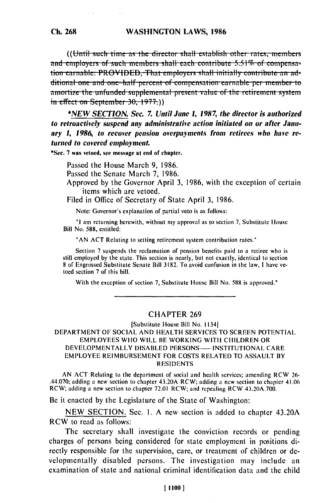((Until such time as the director shall establish other rates, members and employers of such members shall each contribute  $5.51\%$  of compensation earnable: PROVIDED, That employers shall initially contribute an additional one and one-half percent of compensation earnable per member to amortize the unfunded supplemental present value of the retirement system  $\frac{1}{2}$  in effect on September 30, 1977.)

\*NEW SECTION, Sec. 7. Until June 1, 1987, the director is authorized to retroactively suspend any administrative action initiated on or after January 1, 1986, to recover pension overpayments from retirees who have returned to covered employment.

\*Sec. 7 was vetoed, see message at end of chapter.

Passed the House March 9, 1986.

Passed the Senate March 7, 1986.

- Approved by the Governor April 3, 1986, with the exception of certain items which are vetoed.
- Filed in Office of Secretary of State April 3, 1986.

Note: Governor's explanation of partial veto is as follows:

"I am returning herewith, without my approval as to section 7, Substitute House Bill No. 588, entitled:

"AN ACT Relating to setting retirement system contribution rates."

Section 7 suspends the reclamation of pension benefits paid to a retiree who is still employed by the state. This section is nearly, but not exactly, identical to section 8 of Engrossed Substitute Senate Bill 3182. To avoid confusion in the law, I have vetoed section 7 of this bill.

With the exception of section 7, Substitute House Bill No. 588 is approved."

## **CHAPTER 269**

## [Substitute House Bill No. 1134] DEPARTMENT OF SOCIAL AND HEALTH SERVICES TO SCREEN POTENTIAL EMPLOYEES WHO WILL BE WORKING WITH CHILDREN OR DEVELOPMENTALLY DISABLED PERSONS---- INSTITUTIONAL CARE **EMPLOYEE REIMBURSEMENT FOR COSTS RELATED TO ASSAULT BY RESIDENTS**

AN ACT Relating to the department of social and health services; amending RCW 26-.44.070; adding a new section to chapter 43.20A RCW; adding a new section to chapter 41.06 RCW; adding a new section to chapter 72.01 RCW; and repealing RCW 43.20A.700.

Be it enacted by the Legislature of the State of Washington:

NEW SECTION. Sec. 1. A new section is added to chapter 43.20A RCW to read as follows:

The secretary shall investigate the conviction records or pending charges of persons being considered for state employment in positions directly responsible for the supervision, care, or treatment of children or developmentally disabled persons. The investigation may include an examination of state and national criminal identification data and the child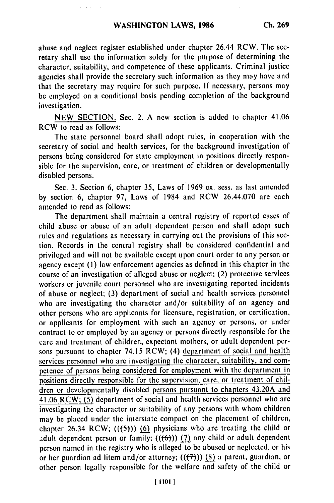abuse and neglect register established under chapter 26.44 RCW. The secretary shall use the information solely for the purpose of determining the character, suitability, and competence of these applicants. Criminal justice agencies shall provide the secretary such information as they may have and that the secretary may require for such purpose. If necessary, persons may be employed on a conditional basis pending completion of the background investigation.

NEW SECTION. Sec. 2. A new section is added to chapter 41.06 RCW to read as follows:

The state personnel board shall adopt rules, in cooperation with the secretary of social and health services, for the background investigation of persons being considered for state employment in positions directly responsible for the supervision, care, or treatment of children or developmentally disabled persons.

Sec. 3. Section 6, chapter 35, Laws of 1969 ex. sess. as last amended by section 6, chapter 97, Laws of 1984 and RCW 26.44.070 are each amended to read as follows:

The department shall maintain a central registry of reported cases of child abuse or abuse of an adult dependent person and shall adopt such rules and regulations as necessary in carrying out the provisions of this section. Records in the central registry shall be considered confidential and privileged and will not be available except upon court order to any person or agency except **(1)** law enforcement agencies as defined in this chapter in the course of an investigation of alleged abuse or neglect; (2) protective services workers or juvenile court personnel who are investigating reported incidents of abuse or neglect; (3) department of social and health services personnel who are investigating the character and/or suitability of an agency and other persons who are applicants for licensure, registration, or certification, or applicants for employment with such an agency or persons, or under contract to or employed by an agency or persons directly responsible for the care and treatment of children, expectant mothers, or adult dependent persons pursuant to chapter 74.15 RCW; (4) department of social and health services personnel who are investigating the character, suitability, and competence of persons being considered for employment with the department in positions directly responsible for the supervision, care, or treatment of children or developmentally disabled persons pursuant to chapters 43.20A and 41.06 RCW; **(5)** department of social and health services personnel who are investigating the character or suitability of any persons with whom children may be placed under the interstate compact on the placement of children, chapter 26.34 RCW;  $((\frac{f}{f})^2)$  (6) physicians who are treating the child or adult dependent person or family;  $((6))$  (7) any child or adult dependent person named in the registry who is alleged to be abused or neglected, or his or her guardian ad litem and/or attorney; (((7))) (8) a parent, guardian, or other person legally responsible for the welfare and safety of the child or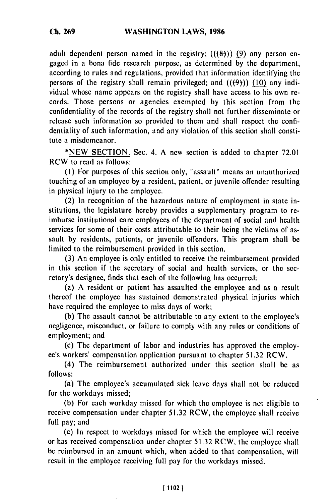adult dependent person named in the registry;  $((\theta))$  (9) any person engaged in a bona fide research purpose, as determined by the department, according to rules and regulations, provided that information identifying the persons of the registry shall remain privileged; and  $((\theta))$  (10) any individual whose name appears on the registry shall have access to his own records. Those persons or agencies exempted by this section from the confidentiality of the records of the registry shall not further disseminate or release such information so provided to them and shall respect the confidentiality of such information, and any violation of this section shall constitute a misdemeanor.

\*NEW SECTION. Sec. 4. A new section is added to chapter 72.01 RCW to read as follows:

(i) For purposes of this section only, "assault" means an unauthorized touching of an employee by a resident, patient, or juvenile offender resulting in physical injury to the employee.

(2) In recognition of the hazardous nature of employment in state institutions, the legislature hereby provides a supplementary program to reimburse institutional care employees of the department of social and health services for some of their costs attributable to their being the victims of assault by residents, patients, or juvenile offenders. This program shall be limited to the reimbursement provided in this section.

(3) An employee is only entitled to receive the reimbursement provided in this section if the secretary of social and health services, or the secretary's designee, finds that each of the following has occurred:

(a) A resident or patient has assaulted the employee and as a result thereof the employee has sustained demonstrated physical injuries which have required the employee to miss days of work;

(b) The assault cannot be attributable to any extent to the employee's negligence, misconduct, or failure to comply with any rules or conditions of employment; and

(c) The department of labor and industries has approved the employce's workers' compensation application pursuant to chapter 51.32 RCW.

(4) The reimbursement authorized under this section shall be as follows:

(a) The employee's accumulated sick leave days shall not be reduced for the workdays missed;

(b) For each workday missed for which the employee is net eligible to receive compensation under chapter 51.32 RCW, the employee shall receive full pay; and

(c) In respect to workdays missed for which the employee will receive or has received compensation under chapter 51.32 RCW, the employee shall be reimbursed in an amount which, when added to that compensation, will result in the employee receiving full pay for the workdays missed.